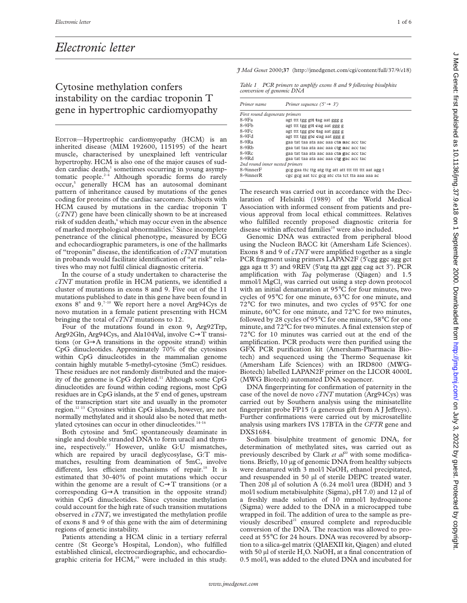## *Electronic letter*

## Cytosine methylation confers instability on the cardiac troponin T gene in hypertrophic cardiomyopathy

EDITOR—Hypertrophic cardiomyopathy (HCM) is an inherited disease (MIM 192600, 115195) of the heart muscle, characterised by unexplained left ventricular hypertrophy. HCM is also one of the major causes of sudden cardiac death,1 sometimes occurring in young asymptomatic people.<sup>2-4</sup> Although sporadic forms do rarely occur,<sup>5</sup> generally HCM has an autosomal dominant pattern of inheritance caused by mutations of the genes coding for proteins of the cardiac sarcomere. Subjects with HCM caused by mutations in the cardiac troponin T (*cTNT*) gene have been clinically shown to be at increased risk of sudden death,<sup>6</sup> which may occur even in the absence of marked morphological abnormalities.<sup>7</sup> Since incomplete penetrance of the clinical phenotype, measured by ECG and echocardiographic parameters, is one of the hallmarks of "troponin" disease, the identification of *cTNT* mutation in probands would facilitate identification of "at risk" relatives who may not fulfil clinical diagnostic criteria.

In the course of a study undertaken to characterise the *cTNT* mutation profile in HCM patients, we identified a cluster of mutations in exons 8 and 9. Five out of the 11 mutations published to date in this gene have been found in exons 8<sup>8</sup> and 9.<sup>7-10</sup> We report here a novel Arg94Cys de novo mutation in a female patient presenting with HCM bringing the total of *cTNT* mutations to 12.

Four of the mutations found in exon 9, Arg92Trp, Arg92Gln, Arg94Cys, and Ala104Val, involve C→T transitions (or G→A transitions in the opposite strand) within CpG dinucleotides. Approximately 70% of the cytosines within CpG dinucleotides in the mammalian genome contain highly mutable 5-methyl-cytosine (5mC) residues. These residues are not randomly distributed and the majority of the genome is CpG depleted.<sup>11</sup> Although some CpG dinucleotides are found within coding regions, most CpG residues are in CpG islands, at the 5' end of genes, upstream of the transcription start site and usually in the promoter region.12 13 Cytosines within CpG islands, however, are not normally methylated and it should also be noted that methylated cytosines can occur in other dinucleotides.<sup>14–16</sup>

Both cytosine and 5mC spontaneously deaminate in single and double stranded DNA to form uracil and thymine, respectively.<sup>17</sup> However, unlike G:U mismatches, which are repaired by uracil deglycosylase, G:T mismatches, resulting from deamination of 5mC, involve different, less efficient mechanisms of repair.<sup>18</sup> It is estimated that 30-40% of point mutations which occur within the genome are a result of  $C \rightarrow T$  transitions (or a corresponding  $G \rightarrow A$  transition in the opposite strand) within CpG dinucleotides. Since cytosine methylation could account for the high rate of such transition mutations observed in *cTNT*, we investigated the methylation profile of exons 8 and 9 of this gene with the aim of determining regions of genetic instability.

Patients attending a HCM clinic in a tertiary referral centre (St George's Hospital, London), who fulfilled established clinical, electrocardiographic, and echocardiographic criteria for  $HCM$ ,<sup>19</sup> were included in this study. *J Med Genet* 2000;**37** (http://jmedgenet.com/cgi/content/full/37/9/*e*18)

*Table 1 PCR primers to amplify exons 8 and 9 following bisulphite conversion of genomic DNA*

| Primer name                    | Primer sequence $(5' \rightarrow 3')$                 |
|--------------------------------|-------------------------------------------------------|
| First round degenerate primers |                                                       |
| $8-9Fa$                        | agt tit tgg git tag aat ggg g                         |
| $8-9Fb$                        | agt ttt tgg gt <b>t c</b> ag aat ggg g                |
| $8-9Fe$                        | agt tit tgg gte tag aat ggg g                         |
| $8-9Fd$                        | agt tit tgg gtc cag aat ggg g                         |
| $8-9R3$                        | gaa tat taa ata aac aaa cta aac acc tac               |
| $8-9Rb$                        | gaa tat taa ata aac aaa ctg aac acc tac               |
| $8-9Rc$                        | gaa tat taa ata aac aaa cta gac acc tac               |
| $8-9Rd$                        | gaa tat taa ata aac aaa ctg gac acc tac               |
| 2nd round inner nested primers |                                                       |
| 8-9innerF                      | gcg gaa ttc ttg atg ttg att att ttt ttt ttt aat agg t |
| 8-9innerR                      | cgc gcg aat tcc gcg atc cta tct tta aaa aaa ac        |

The research was carried out in accordance with the Declaration of Helsinki (1989) of the World Medical Association with informed consent from patients and previous approval from local ethical committees. Relatives who fulfilled recently proposed diagnostic criteria for disease within affected families<sup>19</sup> were also included.

Genomic DNA was extracted from peripheral blood using the Nucleon BACC kit (Amersham Life Sciences). Exons 8 and 9 of *cTNT* were amplified together as a single PCR fragment using primers LAPAN2F (5'cgg ggc agg gct gga aga tt 3') and 9REV (5'atg tta ggt ggg cag act 3'). PCR amplification with *Taq* polymerase (Qiagen) and 1.5 mmol/l MgCl<sub>2</sub> was carried out using a step down protocol with an initial denaturation at 95°C for four minutes, two cycles of 95°C for one minute, 63°C for one minute, and 72°C for two minutes, and two cycles of 95°C for one minute, 60°C for one minute, and 72°C for two minutes, followed by 28 cycles of 95°C for one minute, 58°C for one minute, and 72°C for two minutes. A final extension step of 72°C for 10 minutes was carried out at the end of the amplification. PCR products were then purified using the GFX PCR purification kit (Amersham-Pharmacia Biotech) and sequenced using the Thermo Sequenase kit (Amersham Life Sciences) with an IRD800 (MWG-Biotech) labelled LAPAN2F primer on the LICOR 4000L (MWG Biotech) automated DNA sequencer.

DNA fingerprinting for confirmation of paternity in the case of the novel de novo *cTNT* mutation (Arg94Cys) was carried out by Southern analysis using the minisatellite fingerprint probe  $FP15$  (a generous gift from A J Jeffreys). Further confirmations were carried out by microsatellite analysis using markers IVS 17BTA in the *CFTR* gene and DXS1684.

Sodium bisulphite treatment of genomic DNA, for determination of methylated sites, was carried out as previously described by Clark *et al*<sup>20</sup> with some modifications. Briefly, 10 µg of genomic DNA from healthy subjects were denatured with 3 mol/l NaOH, ethanol precipitated, and resuspended in 50 µl of sterile DEPC treated water. Then 208 µl of solution A (6.24 mol/l urea (BDH) and 3 mol/l sodium metabisulphite (Sigma),  $pH 7.0$ ) and 12  $\mu$ l of a freshly made solution of 10 mmol/l hydroquinone (Sigma) were added to the DNA in a microcapped tube wrapped in foil. The addition of urea to the sample as previously described<sup>21</sup> ensured complete and reproducible conversion of the DNA. The reaction was allowed to proceed at 55°C for 24 hours. DNA was recovered by absorption to a silica-gel matrix (QIAEXII kit, Qiagen) and eluted with 50  $\mu$ l of sterile H<sub>2</sub>O. NaOH, at a final concentration of 0.5 mol/l, was added to the eluted DNA and incubated for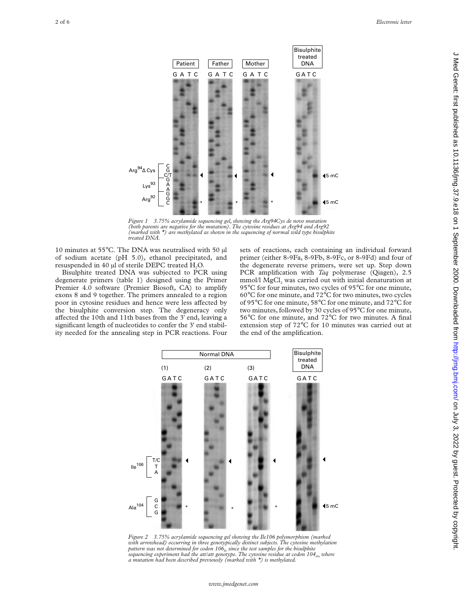

*Figure 1 3.75% acrylamide sequencing gel, showing the Arg94Cys de novo mutation (both parents are negative for the mutation). The cytosine residues at Arg94 and Arg92 (marked with \*) are methylated as shown in the sequencing of normal wild type bisulphite treated DNA.*

10 minutes at 55°C. The DNA was neutralised with 50 µl of sodium acetate (pH 5.0), ethanol precipitated, and resuspended in 40 µl of sterile DEPC treated H<sub>2</sub>O.

Bisulphite treated DNA was subjected to PCR using degenerate primers (table 1) designed using the Primer Premier 4.0 software (Premier Biosoft, CA) to amplify exons 8 and 9 together. The primers annealed to a region poor in cytosine residues and hence were less affected by the bisulphite conversion step. The degeneracy only affected the 10th and 11th bases from the 3' end, leaving a significant length of nucleotides to confer the 3' end stability needed for the annealing step in PCR reactions. Four sets of reactions, each containing an individual forward primer (either 8-9Fa, 8-9Fb, 8-9Fc, or 8-9Fd) and four of the degenerate reverse primers, were set up. Step down PCR amplification with *Taq* polymerase (Qiagen), 2.5 mmol/l  $MgCl<sub>2</sub>$  was carried out with initial denaturation at 95°C for four minutes, two cycles of 95°C for one minute, 60°C for one minute, and 72°C for two minutes, two cycles of 95°C for one minute, 58°C for one minute, and 72°C for two minutes, followed by 30 cycles of 95°C for one minute, 56°C for one minute, and 72°C for two minutes. A final extension step of 72°C for 10 minutes was carried out at the end of the amplification.



*Figure 2 3.75% acrylamide sequencing gel showing the Ile106 polymorphism (marked with arrowhead) occurring in three genotypically distinct subjects. The cytosine methylation* pattern was not determined for codon 106<sub>Ile</sub> since the test samples for the bisulphite *sequencing experiment had the att/att genotype. The cytosine residue at codon 104*<sub>Ala</sub> *where a mutation had been described previously (marked with \*) is methylated.*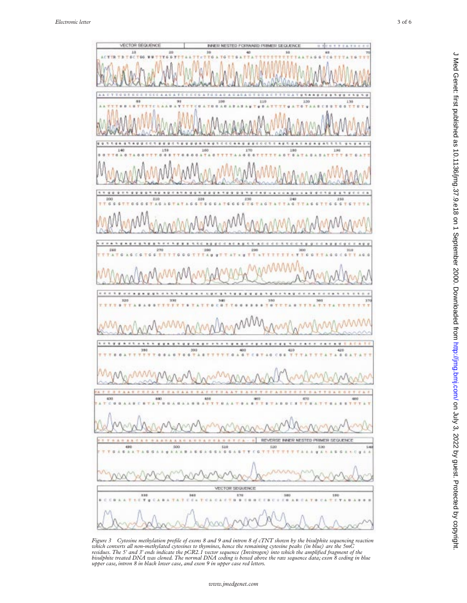

Figure 3 Cytosine methylation profile of exons 8 and 9 and intron 8 of cTNT shown by the bisulphite sequencing reaction<br>which converts all non-methylated cytosines to thymines, hence the remaining cytosine peaks (in blue)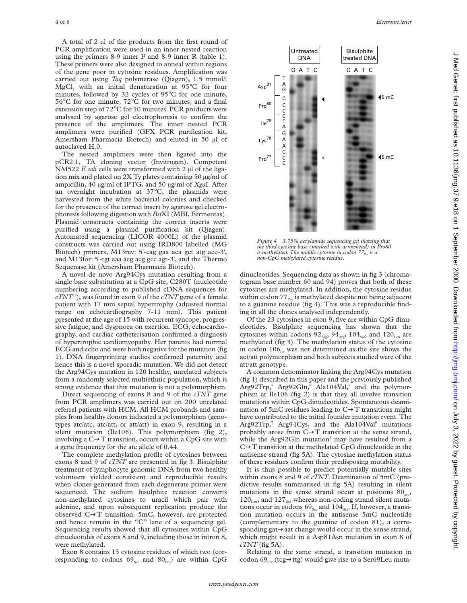A total of 2 µl of the products from the first round of PCR amplification were used in an inner nested reaction using the primers 8-9 inner F and 8-9 inner R (table 1). These primers were also designed to anneal within regions of the gene poor in cytosine residues. Amplification was carried out using *Taq* polymerase (Qiagen), 1.5 mmol/l MgCl<sub>2</sub> with an initial denaturation at  $95^{\circ}$ C for four minutes, followed by 32 cycles of 95°C for one minute, 56°C for one minute, 72°C for two minutes, and a final extension step of 72°C for 10 minutes. PCR products were analysed by agarose gel electrophoresis to confirm the presence of the amplimers. The inner nested PCR amplimers were purified (GFX PCR purification kit, Amersham Pharmacia Biotech) and eluted in 50 µl of autoclaved H<sub>2</sub>0.

The nested amplimers were then ligated into the pCR2.1, TA cloning vector (Invitrogen). Competent NM522 *E coli* cells were transformed with 2 µl of the ligation mix and plated on 2X Ty plates containing 50 µg/ml of ampicillin, 40 µg/ml of IPTG, and 50 µg/ml of *Xga*I. After an overnight incubation at 37°C, the plasmids were harvested from the white bacterial colonies and checked for the presence of the correct insert by agarose gel electrophoresis following digestion with *Bst*XI (MBI, Fermentas). Plasmid constructs containing the correct inserts were purified using a plasmid purification kit (Qiagen). Automated sequencing (LICOR 4000L) of the plasmid constructs was carried out using IRD800 labelled (MG Biotech) primers, M13rev: 5'-cag gaa aca gct atg acc-3', and M13for: 5'-tgt aaa acg acg gcc agt-3', and the Thermo Sequenase kit (Amersham Pharmacia Biotech).

A novel de novo Arg94Cys mutation resulting from a single base substitution at a CpG site, C280T (nucleotide numbering according to published cDNA sequences for *cTNT*22), was found in exon 9 of the *cTNT* gene of a female patient with 17 mm septal hypertrophy (adjusted normal range on echocardiography 7-11 mm). This patient presented at the age of 15 with recurrent syncope, progressive fatigue, and dyspnoea on exertion. ECG, echocardiography, and cardiac catheterisation confirmed a diagnosis of hypertrophic cardiomyopathy. Her parents had normal ECG and echo and were both negative for the mutation (fig 1). DNA fingerprinting studies confirmed paternity and hence this is a novel sporadic mutation. We did not detect the Arg94Cys mutation in 120 healthy, unrelated subjects from a randomly selected multiethnic population, which is strong evidence that this mutation is not a polymorphism.

Direct sequencing of exons 8 and 9 of the *cTNT* gene from PCR amplimers was carried out on 200 unrelated referral patients with HCM. All HCM probands and samples from healthy donors indicated a polymorphism (genotypes atc/atc, atc/att, or att/att) in exon 9, resulting in a silent mutation (Ile106). This polymorphism (fig 2), involving a  $C \rightarrow T$  transition, occurs within a CpG site with a gene frequency for the atc allele of 0.44.

The complete methylation profile of cytosines between exons 8 and 9 of *cTNT* are presented in fig 3. Bisulphite treatment of lymphocyte genomic DNA from two healthy volunteers yielded consistent and reproducible results when clones generated from each degenerate primer were sequenced. The sodium bisulphite reaction converts non-methylated cytosines to uracil which pair with adenine, and upon subsequent replication produce the observed C→T transition. 5mC, however, are protected and hence remain in the "C" lane of a sequencing gel. Sequencing results showed that all cytosines within CpG dinucleotides of exons 8 and 9, including those in intron 8, were methylated.

Exon 8 contains 15 cytosine residues of which two (corresponding to codons  $69_{\text{Ser}}$  and  $80_{\text{Pro}}$ ) are within CpG



*Figure 4 3.75% acrylamide sequencing gel showing that the third cytosine base (marked with arrowhead) in Pro80 is methylated. The middle cytosine in codon 77*<sub>Pro</sub> *is a non-CpG methylated cytosine residue.*

dinucleotides. Sequencing data as shown in fig 3 (chromatogram base number 60 and 94) proves that both of these cytosines are methylated. In addition, the cytosine residue within codon  $77_{\text{Pro}}$  is methylated despite not being adjacent to a guanine residue (fig 4). This was a reproducible finding in all the clones analysed independently.

Of the 23 cytosines in exon 9, five are within CpG dinucleotides. Bisulphite sequencing has shown that the cytosines within codons  $92_{\text{Arg}}$ ,  $94_{\text{Arg}}$ ,  $104_{\text{Val}}$ , and  $120_{\text{Leu}}$  are methylated (fig 3). The methylation status of the cytosine in codon  $106<sub>11e</sub>$  was not determined as the site shows the act/att polymorphism and both subjects studied were of the att/att genotype.

A common denominator linking the Arg94Cys mutation (fig 1) described in this paper and the previously published  $Arg92Trp$ ,  $Arg92Gln$ ,  $Ala104Val$ , and the polymorphism at Ile106 (fig 2) is that they all involve transition mutations within CpG dinucleotides. Spontaneous deamination of 5mC residues leading to C→T transitions might have contributed to the initial founder mutation event. The  $Arg92Trp$ ,<sup>7</sup> Arg $94Cys$ , and the Ala104Val<sup>9</sup> mutations probably arose from  $C \rightarrow T$  transition at the sense strand, while the Arg $92G$ In mutation $^8$  may have resulted from a  $C \rightarrow T$  transition at the methylated CpG dinucleotide in the antisense strand (fig 5A). The cytosine methylation status of these residues confirm their predisposing mutability.

It is thus possible to predict potentially mutable sites within exons 8 and 9 of *cTNT*. Deamination of 5mC (predictive results summarised in fig 5A) resulting in silent mutations in the sense strand occur at positions  $80<sub>mn</sub>$ ,  $120<sub>Leu</sub>$ , and  $127<sub>He</sub>$ , whereas non-coding strand silent mutations occur in codons  $69_{\text{Ser}}$  and  $104_{\text{Ala}}$ . If, however, a transition mutation occurs in the antisense 5mC nucleotide (complementary to the guanine of codon 81), a corresponding gat→aat change would occur in the sense strand, which might result in a Asp81Asn mutation in exon 8 of *cTNT* (fig 5A).

Relating to the same strand, a transition mutation in codon 69 $_{\text{Ser}}$  (tcg $\rightarrow$ ttg) would give rise to a Ser69Leu muta-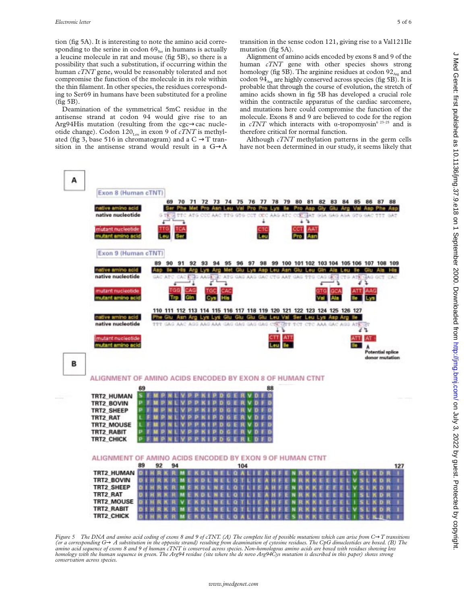tion (fig 5A). It is interesting to note the amino acid corresponding to the serine in codon  $69_{\text{Ser}}$  in humans is actually a leucine molecule in rat and mouse (fig 5B), so there is a possibility that such a substitution, if occurring within the human *cTNT* gene, would be reasonably tolerated and not compromise the function of the molecule in its role within the thin filament. In other species, the residues corresponding to Ser69 in humans have been substituted for a proline  $(fig 5B)$ .

Deamination of the symmetrical 5mC residue in the antisense strand at codon 94 would give rise to an Arg94His mutation (resulting from the cgc→cac nucleotide change). Codon  $120<sub>Len</sub>$  in exon 9 of *cTNT* is methylated (fig 3, base 516 in chromatogram) and a  $C \rightarrow T$  transition in the antisense strand would result in a G→A

transition in the sense codon 121, giving rise to a Val121Ile mutation (fig 5A).

Alignment of amino acids encoded by exons 8 and 9 of the human *cTNT* gene with other species shows strong homology (fig 5B). The arginine residues at codon  $92<sub>Arp</sub>$  and codon  $94<sub>Ar</sub>$  are highly conserved across species (fig 5B). It is probable that through the course of evolution, the stretch of amino acids shown in fig 5B has developed a crucial role within the contractile apparatus of the cardiac sarcomere, and mutations here could compromise the function of the molecule. Exons 8 and 9 are believed to code for the region in *cTNT* which interacts with  $\alpha$ -tropomyosin<sup>6 23–25</sup> and is therefore critical for normal function.

Although *cTNT* methylation patterns in the germ cells have not been determined in our study, it seems likely that



*Figure 5* The DNA and amino acid coding of exons 8 and 9 of cTNT. (A) The complete list of possible mutations which can arise from C→T transitions *(or a corresponding G*→ *A substitution in the opposite strand) resulting from deamination of cytosine residues. The CpG dinucleotides are boxed. (B) The amino acid sequence of exons 8 and 9 of human cTNT is conserved across species. Non-homologous amino acids are boxed with residues showing low homology with the human sequence in green. The Arg94 residue (site where the de novo Arg94Cys mutation is described in this paper) shows strong conservation across species.*